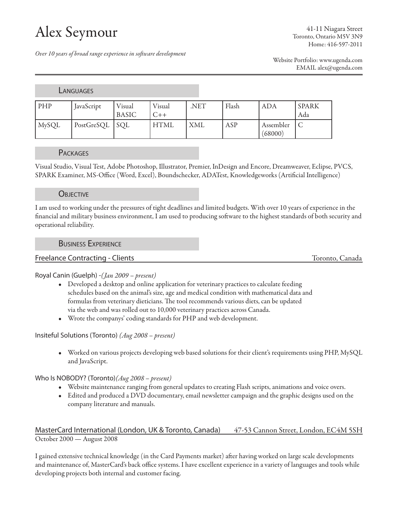# Alex Seymour

41-11 Niagara Street Toronto, Ontario M5V 3N9 Home: 416-597-2011

*Over 10 years of broad range experience in software development*

Website Portfolio: www.ugenda.com EMAIL alex@ugenda.com

## **LANGUAGES**

| PHP          | JavaScript     | Visual<br><b>BASIC</b> | Visual<br>$C++$   | .NET | Flash | <b>ADA</b>           | SPARK<br>Ada |
|--------------|----------------|------------------------|-------------------|------|-------|----------------------|--------------|
| <b>MySQL</b> | PostGreSQL SQL |                        | HTML <sup>'</sup> | XML  | ASP   | Assembler<br>(68000) |              |

## **PACKAGES**

Visual Studio, Visual Test, Adobe Photoshop, Illustrator, Premier, InDesign and Encore, Dreamweaver, Eclipse, PVCS, SPARK Examiner, MS-Office (Word, Excel), Boundschecker, ADATest, Knowledgeworks (Artificial Intelligence)

## **OBJECTIVE**

I am used to working under the pressures of tight deadlines and limited budgets. With over 10 years of experience in the financial and military business environment, I am used to producing software to the highest standards of both security and operational reliability.

#### Business Experience

## Freelance Contracting - Clients Toronto, Canada

## Royal Canin (Guelph) -*(Jan 2009 – present)*

- Developed a desktop and online application for veterinary practices to calculate feeding schedules based on the animal's size, age and medical condition with mathematical data and formulas from veterinary dieticians. The tool recommends various diets, can be updated via the web and was rolled out to 10,000 veterinary practices across Canada.
- • Wrote the companys' coding standards for PHP and web development.

## Insiteful Solutions (Toronto) *(Aug 2008 – present)*

• Worked on various projects developing web based solutions for their client's requirements using PHP, MySQL and JavaScript.

## Who Is NOBODY? (Toronto)*(Aug 2008 – present)*

- • Website maintenance ranging from general updates to creating Flash scripts, animations and voice overs.
- • Edited and produced a DVD documentary, email newsletter campaign and the graphic designs used on the company literature and manuals.

## MasterCard International (London, UK & Toronto, Canada) 47-53 Cannon Street, London, EC4M 5SH October 2000 — August 2008

I gained extensive technical knowledge (in the Card Payments market) after having worked on large scale developments and maintenance of, MasterCard's back office systems. I have excellent experience in a variety of languages and tools while developing projects both internal and customer facing.